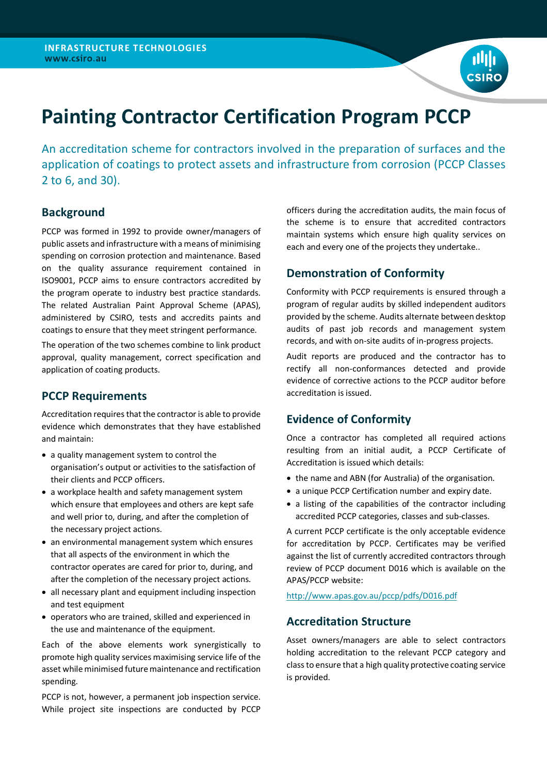

# **Painting Contractor Certification Program PCCP**

An accreditation scheme for contractors involved in the preparation of surfaces and the application of coatings to protect assets and infrastructure from corrosion (PCCP Classes 2 to 6, and 30).

## **Background**

PCCP was formed in 1992 to provide owner/managers of public assets and infrastructure with a means of minimising spending on corrosion protection and maintenance. Based on the quality assurance requirement contained in ISO9001, PCCP aims to ensure contractors accredited by the program operate to industry best practice standards. The related Australian Paint Approval Scheme (APAS), administered by CSIRO, tests and accredits paints and coatings to ensure that they meet stringent performance.

The operation of the two schemes combine to link product approval, quality management, correct specification and application of coating products.

#### **PCCP Requirements**

Accreditation requires that the contractor is able to provide evidence which demonstrates that they have established and maintain:

- a quality management system to control the organisation's output or activities to the satisfaction of their clients and PCCP officers.
- a workplace health and safety management system which ensure that employees and others are kept safe and well prior to, during, and after the completion of the necessary project actions.
- an environmental management system which ensures that all aspects of the environment in which the contractor operates are cared for prior to, during, and after the completion of the necessary project actions.
- all necessary plant and equipment including inspection and test equipment
- operators who are trained, skilled and experienced in the use and maintenance of the equipment.

Each of the above elements work synergistically to promote high quality services maximising service life of the asset while minimised future maintenance and rectification spending.

PCCP is not, however, a permanent job inspection service. While project site inspections are conducted by PCCP

officers during the accreditation audits, the main focus of the scheme is to ensure that accredited contractors maintain systems which ensure high quality services on each and every one of the projects they undertake..

### **Demonstration of Conformity**

Conformity with PCCP requirements is ensured through a program of regular audits by skilled independent auditors provided by the scheme. Audits alternate between desktop audits of past job records and management system records, and with on-site audits of in-progress projects.

Audit reports are produced and the contractor has to rectify all non-conformances detected and provide evidence of corrective actions to the PCCP auditor before accreditation is issued.

## **Evidence of Conformity**

Once a contractor has completed all required actions resulting from an initial audit, a PCCP Certificate of Accreditation is issued which details:

- the name and ABN (for Australia) of the organisation.
- a unique PCCP Certification number and expiry date.
- a listing of the capabilities of the contractor including accredited PCCP categories, classes and sub-classes.

A current PCCP certificate is the only acceptable evidence for accreditation by PCCP. Certificates may be verified against the list of currently accredited contractors through review of PCCP document D016 which is available on the APAS/PCCP website:

http://www.apas.gov.au/pccp/pdfs/D016.pdf

#### **Accreditation Structure**

Asset owners/managers are able to select contractors holding accreditation to the relevant PCCP category and classto ensure that a high quality protective coating service is provided.